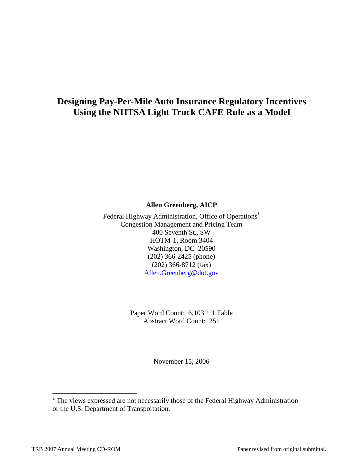# **Designing Pay-Per-Mile Auto Insurance Regulatory Incentives Using the NHTSA Light Truck CAFE Rule as a Model**

**Allen Greenberg, AICP**

Federal Highway Administration, Office of Operations<sup>1</sup> Congestion Management and Pricing Team 400 Seventh St., SW HOTM-1, Room 3404 Washington, DC 20590 (202) 366-2425 (phone) (202) 366-8712 (fax) Allen.Greenberg@dot.gov

> Paper Word Count: 6,103 + 1 Table Abstract Word Count: 251

> > November 15, 2006

<sup>&</sup>lt;sup>1</sup> The views expressed are not necessarily those of the Federal Highway Administration or the U.S. Department of Transportation.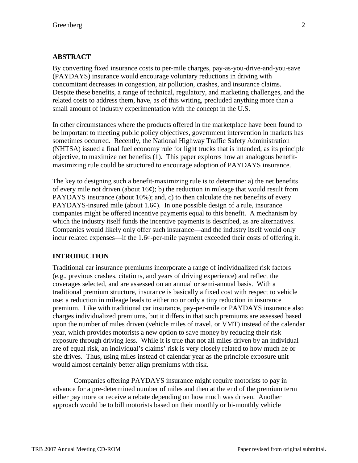# **ABSTRACT**

By converting fixed insurance costs to per-mile charges, pay-as-you-drive-and-you-save (PAYDAYS) insurance would encourage voluntary reductions in driving with concomitant decreases in congestion, air pollution, crashes, and insurance claims. Despite these benefits, a range of technical, regulatory, and marketing challenges, and the related costs to address them, have, as of this writing, precluded anything more than a small amount of industry experimentation with the concept in the U.S.

In other circumstances where the products offered in the marketplace have been found to be important to meeting public policy objectives, government intervention in markets has sometimes occurred. Recently, the National Highway Traffic Safety Administration (NHTSA) issued a final fuel economy rule for light trucks that is intended, as its principle objective, to maximize net benefits (1). This paper explores how an analogous benefitmaximizing rule could be structured to encourage adoption of PAYDAYS insurance.

The key to designing such a benefit-maximizing rule is to determine: a) the net benefits of every mile not driven (about  $16¢$ ); b) the reduction in mileage that would result from PAYDAYS insurance (about 10%); and, c) to then calculate the net benefits of every PAYDAYS-insured mile (about  $1.6¢$ ). In one possible design of a rule, insurance companies might be offered incentive payments equal to this benefit. A mechanism by which the industry itself funds the incentive payments is described, as are alternatives. Companies would likely only offer such insurance—and the industry itself would only incur related expenses—if the 1.6¢-per-mile payment exceeded their costs of offering it.

## **INTRODUCTION**

Traditional car insurance premiums incorporate a range of individualized risk factors (e.g., previous crashes, citations, and years of driving experience) and reflect the coverages selected, and are assessed on an annual or semi-annual basis. With a traditional premium structure, insurance is basically a fixed cost with respect to vehicle use; a reduction in mileage leads to either no or only a tiny reduction in insurance premium. Like with traditional car insurance, pay-per-mile or PAYDAYS insurance also charges individualized premiums, but it differs in that such premiums are assessed based upon the number of miles driven (vehicle miles of travel, or VMT) instead of the calendar year, which provides motorists a new option to save money by reducing their risk exposure through driving less. While it is true that not all miles driven by an individual are of equal risk, an individual's claims' risk is very closely related to how much he or she drives. Thus, using miles instead of calendar year as the principle exposure unit would almost certainly better align premiums with risk.

Companies offering PAYDAYS insurance might require motorists to pay in advance for a pre-determined number of miles and then at the end of the premium term either pay more or receive a rebate depending on how much was driven. Another approach would be to bill motorists based on their monthly or bi-monthly vehicle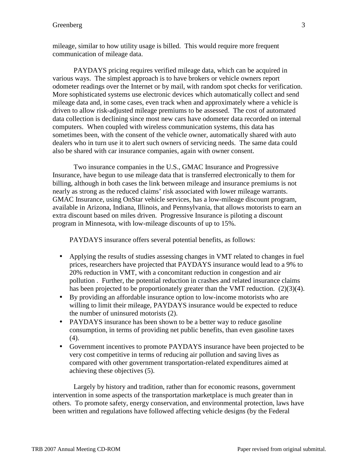mileage, similar to how utility usage is billed. This would require more frequent communication of mileage data.

PAYDAYS pricing requires verified mileage data, which can be acquired in various ways. The simplest approach is to have brokers or vehicle owners report odometer readings over the Internet or by mail, with random spot checks for verification. More sophisticated systems use electronic devices which automatically collect and send mileage data and, in some cases, even track when and approximately where a vehicle is driven to allow risk-adjusted mileage premiums to be assessed. The cost of automated data collection is declining since most new cars have odometer data recorded on internal computers. When coupled with wireless communication systems, this data has sometimes been, with the consent of the vehicle owner, automatically shared with auto dealers who in turn use it to alert such owners of servicing needs. The same data could also be shared with car insurance companies, again with owner consent.

Two insurance companies in the U.S., GMAC Insurance and Progressive Insurance, have begun to use mileage data that is transferred electronically to them for billing, although in both cases the link between mileage and insurance premiums is not nearly as strong as the reduced claims' risk associated with lower mileage warrants. GMAC Insurance, using OnStar vehicle services, has a low-mileage discount program, available in Arizona, Indiana, Illinois, and Pennsylvania, that allows motorists to earn an extra discount based on miles driven. Progressive Insurance is piloting a discount program in Minnesota, with low-mileage discounts of up to 15%.

PAYDAYS insurance offers several potential benefits, as follows:

- Applying the results of studies assessing changes in VMT related to changes in fuel prices, researchers have projected that PAYDAYS insurance would lead to a 9% to 20% reduction in VMT, with a concomitant reduction in congestion and air pollution . Further, the potential reduction in crashes and related insurance claims has been projected to be proportionately greater than the VMT reduction. (2)(3)(4).
- By providing an affordable insurance option to low-income motorists who are willing to limit their mileage, PAYDAYS insurance would be expected to reduce the number of uninsured motorists (2).
- PAYDAYS insurance has been shown to be a better way to reduce gasoline consumption, in terms of providing net public benefits, than even gasoline taxes (4).
- Government incentives to promote PAYDAYS insurance have been projected to be very cost competitive in terms of reducing air pollution and saving lives as compared with other government transportation-related expenditures aimed at achieving these objectives (5).

Largely by history and tradition, rather than for economic reasons, government intervention in some aspects of the transportation marketplace is much greater than in others. To promote safety, energy conservation, and environmental protection, laws have been written and regulations have followed affecting vehicle designs (by the Federal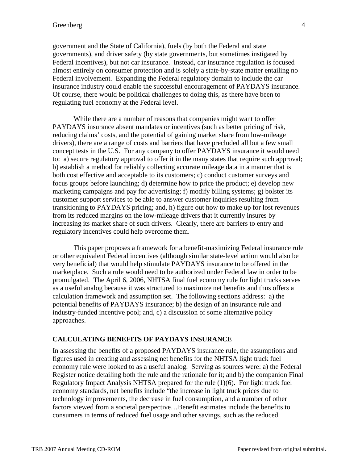government and the State of California), fuels (by both the Federal and state governments), and driver safety (by state governments, but sometimes instigated by Federal incentives), but not car insurance. Instead, car insurance regulation is focused almost entirely on consumer protection and is solely a state-by-state matter entailing no Federal involvement. Expanding the Federal regulatory domain to include the car insurance industry could enable the successful encouragement of PAYDAYS insurance. Of course, there would be political challenges to doing this, as there have been to regulating fuel economy at the Federal level.

While there are a number of reasons that companies might want to offer PAYDAYS insurance absent mandates or incentives (such as better pricing of risk, reducing claims' costs, and the potential of gaining market share from low-mileage drivers), there are a range of costs and barriers that have precluded all but a few small concept tests in the U.S. For any company to offer PAYDAYS insurance it would need to: a) secure regulatory approval to offer it in the many states that require such approval; b) establish a method for reliably collecting accurate mileage data in a manner that is both cost effective and acceptable to its customers; c) conduct customer surveys and focus groups before launching; d) determine how to price the product; e) develop new marketing campaigns and pay for advertising; f) modify billing systems; g) bolster its customer support services to be able to answer customer inquiries resulting from transitioning to PAYDAYS pricing; and, h) figure out how to make up for lost revenues from its reduced margins on the low-mileage drivers that it currently insures by increasing its market share of such drivers. Clearly, there are barriers to entry and regulatory incentives could help overcome them.

This paper proposes a framework for a benefit-maximizing Federal insurance rule or other equivalent Federal incentives (although similar state-level action would also be very beneficial) that would help stimulate PAYDAYS insurance to be offered in the marketplace. Such a rule would need to be authorized under Federal law in order to be promulgated. The April 6, 2006, NHTSA final fuel economy rule for light trucks serves as a useful analog because it was structured to maximize net benefits and thus offers a calculation framework and assumption set. The following sections address: a) the potential benefits of PAYDAYS insurance; b) the design of an insurance rule and industry-funded incentive pool; and, c) a discussion of some alternative policy approaches.

# **CALCULATING BENEFITS OF PAYDAYS INSURANCE**

In assessing the benefits of a proposed PAYDAYS insurance rule, the assumptions and figures used in creating and assessing net benefits for the NHTSA light truck fuel economy rule were looked to as a useful analog. Serving as sources were: a) the Federal Register notice detailing both the rule and the rationale for it; and b) the companion Final Regulatory Impact Analysis NHTSA prepared for the rule (1)(6). For light truck fuel economy standards, net benefits include "the increase in light truck prices due to technology improvements, the decrease in fuel consumption, and a number of other factors viewed from a societal perspective…Benefit estimates include the benefits to consumers in terms of reduced fuel usage and other savings, such as the reduced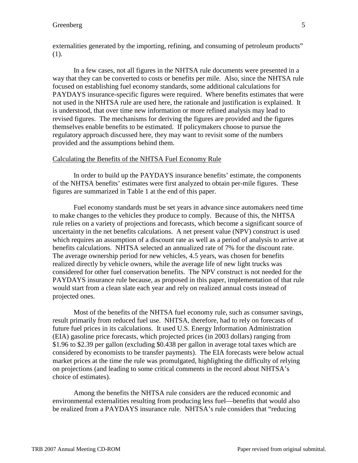externalities generated by the importing, refining, and consuming of petroleum products" (1).

In a few cases, not all figures in the NHTSA rule documents were presented in a way that they can be converted to costs or benefits per mile. Also, since the NHTSA rule focused on establishing fuel economy standards, some additional calculations for PAYDAYS insurance-specific figures were required. Where benefits estimates that were not used in the NHTSA rule are used here, the rationale and justification is explained. It is understood, that over time new information or more refined analysis may lead to revised figures. The mechanisms for deriving the figures are provided and the figures themselves enable benefits to be estimated. If policymakers choose to pursue the regulatory approach discussed here, they may want to revisit some of the numbers provided and the assumptions behind them.

#### Calculating the Benefits of the NHTSA Fuel Economy Rule

In order to build up the PAYDAYS insurance benefits' estimate, the components of the NHTSA benefits' estimates were first analyzed to obtain per-mile figures. These figures are summarized in Table 1 at the end of this paper.

Fuel economy standards must be set years in advance since automakers need time to make changes to the vehicles they produce to comply. Because of this, the NHTSA rule relies on a variety of projections and forecasts, which become a significant source of uncertainty in the net benefits calculations. A net present value (NPV) construct is used which requires an assumption of a discount rate as well as a period of analysis to arrive at benefits calculations. NHTSA selected an annualized rate of 7% for the discount rate. The average ownership period for new vehicles, 4.5 years, was chosen for benefits realized directly by vehicle owners, while the average life of new light trucks was considered for other fuel conservation benefits. The NPV construct is not needed for the PAYDAYS insurance rule because, as proposed in this paper, implementation of that rule would start from a clean slate each year and rely on realized annual costs instead of projected ones.

Most of the benefits of the NHTSA fuel economy rule, such as consumer savings, result primarily from reduced fuel use. NHTSA, therefore, had to rely on forecasts of future fuel prices in its calculations. It used U.S. Energy Information Administration (EIA) gasoline price forecasts, which projected prices (in 2003 dollars) ranging from \$1.96 to \$2.39 per gallon (excluding \$0.438 per gallon in average total taxes which are considered by economists to be transfer payments). The EIA forecasts were below actual market prices at the time the rule was promulgated, highlighting the difficulty of relying on projections (and leading to some critical comments in the record about NHTSA's choice of estimates).

Among the benefits the NHTSA rule considers are the reduced economic and environmental externalities resulting from producing less fuel—benefits that would also be realized from a PAYDAYS insurance rule. NHTSA's rule considers that "reducing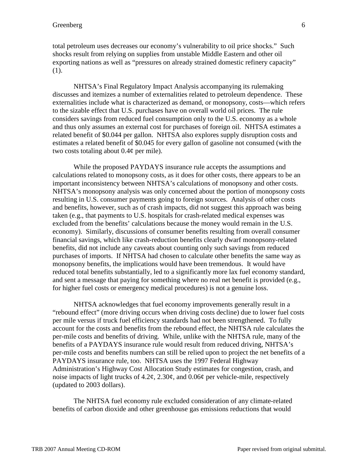total petroleum uses decreases our economy's vulnerability to oil price shocks." Such shocks result from relying on supplies from unstable Middle Eastern and other oil exporting nations as well as "pressures on already strained domestic refinery capacity" (1).

NHTSA's Final Regulatory Impact Analysis accompanying its rulemaking discusses and itemizes a number of externalities related to petroleum dependence. These externalities include what is characterized as demand, or monopsony, costs—which refers to the sizable effect that U.S. purchases have on overall world oil prices. The rule considers savings from reduced fuel consumption only to the U.S. economy as a whole and thus only assumes an external cost for purchases of foreign oil. NHTSA estimates a related benefit of \$0.044 per gallon. NHTSA also explores supply disruption costs and estimates a related benefit of \$0.045 for every gallon of gasoline not consumed (with the two costs totaling about  $0.4\phi$  per mile).

While the proposed PAYDAYS insurance rule accepts the assumptions and calculations related to monopsony costs, as it does for other costs, there appears to be an important inconsistency between NHTSA's calculations of monopsony and other costs. NHTSA's monopsony analysis was only concerned about the portion of monopsony costs resulting in U.S. consumer payments going to foreign sources. Analysis of other costs and benefits, however, such as of crash impacts, did not suggest this approach was being taken (e.g., that payments to U.S. hospitals for crash-related medical expenses was excluded from the benefits' calculations because the money would remain in the U.S. economy). Similarly, discussions of consumer benefits resulting from overall consumer financial savings, which like crash-reduction benefits clearly dwarf monopsony-related benefits, did not include any caveats about counting only such savings from reduced purchases of imports. If NHTSA had chosen to calculate other benefits the same way as monopsony benefits, the implications would have been tremendous. It would have reduced total benefits substantially, led to a significantly more lax fuel economy standard, and sent a message that paying for something where no real net benefit is provided (e.g., for higher fuel costs or emergency medical procedures) is not a genuine loss.

NHTSA acknowledges that fuel economy improvements generally result in a "rebound effect" (more driving occurs when driving costs decline) due to lower fuel costs per mile versus if truck fuel efficiency standards had not been strengthened. To fully account for the costs and benefits from the rebound effect, the NHTSA rule calculates the per-mile costs and benefits of driving. While, unlike with the NHTSA rule, many of the benefits of a PAYDAYS insurance rule would result from reduced driving, NHTSA's per-mile costs and benefits numbers can still be relied upon to project the net benefits of a PAYDAYS insurance rule, too. NHTSA uses the 1997 Federal Highway Administration's Highway Cost Allocation Study estimates for congestion, crash, and noise impacts of light trucks of  $4.2\varphi$ ,  $2.30\varphi$ , and  $0.06\varphi$  per vehicle-mile, respectively (updated to 2003 dollars).

The NHTSA fuel economy rule excluded consideration of any climate-related benefits of carbon dioxide and other greenhouse gas emissions reductions that would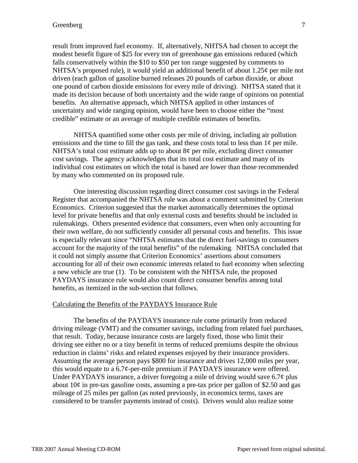result from improved fuel economy. If, alternatively, NHTSA had chosen to accept the modest benefit figure of \$25 for every ton of greenhouse gas emissions reduced (which falls conservatively within the \$10 to \$50 per ton range suggested by comments to NHTSA's proposed rule), it would yield an additional benefit of about 1.25 $\varphi$  per mile not driven (each gallon of gasoline burned releases 20 pounds of carbon dioxide, or about one pound of carbon dioxide emissions for every mile of driving). NHTSA stated that it made its decision because of both uncertainty and the wide range of opinions on potential benefits. An alternative approach, which NHTSA applied in other instances of uncertainty and wide ranging opinion, would have been to choose either the "most credible" estimate or an average of multiple credible estimates of benefits.

NHTSA quantified some other costs per mile of driving, including air pollution emissions and the time to fill the gas tank, and these costs total to less than  $1\phi$  per mile. NHTSA's total cost estimate adds up to about 8¢ per mile, excluding direct consumer cost savings. The agency acknowledges that its total cost estimate and many of its individual cost estimates on which the total is based are lower than those recommended by many who commented on its proposed rule.

One interesting discussion regarding direct consumer cost savings in the Federal Register that accompanied the NHTSA rule was about a comment submitted by Criterion Economics. Criterion suggested that the market automatically determines the optimal level for private benefits and that only external costs and benefits should be included in rulemakings. Others presented evidence that consumers, even when only accounting for their own welfare, do not sufficiently consider all personal costs and benefits. This issue is especially relevant since "NHTSA estimates that the direct fuel-savings to consumers account for the majority of the total benefits" of the rulemaking. NHTSA concluded that it could not simply assume that Criterion Economics' assertions about consumers accounting for all of their own economic interests related to fuel economy when selecting a new vehicle are true (1). To be consistent with the NHTSA rule, the proposed PAYDAYS insurance rule would also count direct consumer benefits among total benefits, as itemized in the sub-section that follows.

#### Calculating the Benefits of the PAYDAYS Insurance Rule

The benefits of the PAYDAYS insurance rule come primarily from reduced driving mileage (VMT) and the consumer savings, including from related fuel purchases, that result. Today, because insurance costs are largely fixed, those who limit their driving see either no or a tiny benefit in terms of reduced premiums despite the obvious reduction in claims' risks and related expenses enjoyed by their insurance providers. Assuming the average person pays \$800 for insurance and drives 12,000 miles per year, this would equate to a  $6.7\phi$ -per-mile premium if PAYDAYS insurance were offered. Under PAYDAYS insurance, a driver foregoing a mile of driving would save  $6.7¢$  plus about  $10¢$  in pre-tax gasoline costs, assuming a pre-tax price per gallon of \$2.50 and gas mileage of 25 miles per gallon (as noted previously, in economics terms, taxes are considered to be transfer payments instead of costs). Drivers would also realize some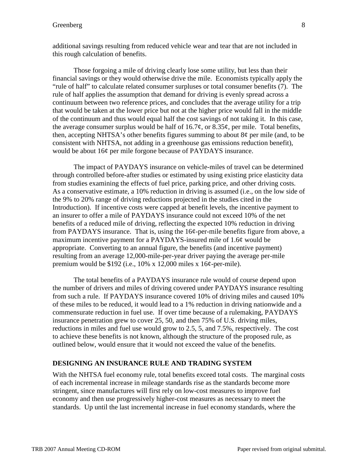additional savings resulting from reduced vehicle wear and tear that are not included in this rough calculation of benefits.

Those forgoing a mile of driving clearly lose some utility, but less than their financial savings or they would otherwise drive the mile. Economists typically apply the "rule of half" to calculate related consumer surpluses or total consumer benefits (7). The rule of half applies the assumption that demand for driving is evenly spread across a continuum between two reference prices, and concludes that the average utility for a trip that would be taken at the lower price but not at the higher price would fall in the middle of the continuum and thus would equal half the cost savings of not taking it. In this case, the average consumer surplus would be half of 16.7 $\varphi$ , or 8.35 $\varphi$ , per mile. Total benefits, then, accepting NHTSA's other benefits figures summing to about  $8¢$  per mile (and, to be consistent with NHTSA, not adding in a greenhouse gas emissions reduction benefit), would be about 16¢ per mile forgone because of PAYDAYS insurance.

The impact of PAYDAYS insurance on vehicle-miles of travel can be determined through controlled before-after studies or estimated by using existing price elasticity data from studies examining the effects of fuel price, parking price, and other driving costs. As a conservative estimate, a 10% reduction in driving is assumed (i.e., on the low side of the 9% to 20% range of driving reductions projected in the studies cited in the Introduction). If incentive costs were capped at benefit levels, the incentive payment to an insurer to offer a mile of PAYDAYS insurance could not exceed 10% of the net benefits of a reduced mile of driving, reflecting the expected 10% reduction in driving from PAYDAYS insurance. That is, using the 16¢-per-mile benefits figure from above, a maximum incentive payment for a PAYDAYS-insured mile of 1.6¢ would be appropriate. Converting to an annual figure, the benefits (and incentive payment) resulting from an average 12,000-mile-per-year driver paying the average per-mile premium would be \$192 (i.e., 10% x 12,000 miles x 16¢-per-mile).

The total benefits of a PAYDAYS insurance rule would of course depend upon the number of drivers and miles of driving covered under PAYDAYS insurance resulting from such a rule. If PAYDAYS insurance covered 10% of driving miles and caused 10% of these miles to be reduced, it would lead to a 1% reduction in driving nationwide and a commensurate reduction in fuel use. If over time because of a rulemaking, PAYDAYS insurance penetration grew to cover 25, 50, and then 75% of U.S. driving miles, reductions in miles and fuel use would grow to 2.5, 5, and 7.5%, respectively. The cost to achieve these benefits is not known, although the structure of the proposed rule, as outlined below, would ensure that it would not exceed the value of the benefits.

## **DESIGNING AN INSURANCE RULE AND TRADING SYSTEM**

With the NHTSA fuel economy rule, total benefits exceed total costs. The marginal costs of each incremental increase in mileage standards rise as the standards become more stringent, since manufactures will first rely on low-cost measures to improve fuel economy and then use progressively higher-cost measures as necessary to meet the standards. Up until the last incremental increase in fuel economy standards, where the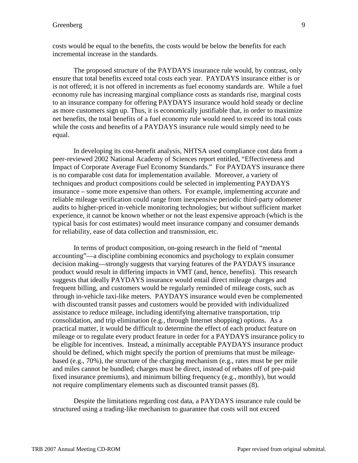costs would be equal to the benefits, the costs would be below the benefits for each incremental increase in the standards.

The proposed structure of the PAYDAYS insurance rule would, by contrast, only ensure that total benefits exceed total costs each year. PAYDAYS insurance either is or is not offered; it is not offered in increments as fuel economy standards are. While a fuel economy rule has increasing marginal compliance costs as standards rise, marginal costs to an insurance company for offering PAYDAYS insurance would hold steady or decline as more customers sign up. Thus, it is economically justifiable that, in order to maximize net benefits, the total benefits of a fuel economy rule would need to exceed its total costs while the costs and benefits of a PAYDAYS insurance rule would simply need to be equal.

In developing its cost-benefit analysis, NHTSA used compliance cost data from a peer-reviewed 2002 National Academy of Sciences report entitled, "Effectiveness and Impact of Corporate Average Fuel Economy Standards." For PAYDAYS insurance there is no comparable cost data for implementation available. Moreover, a variety of techniques and product compositions could be selected in implementing PAYDAYS insurance – some more expensive than others. For example, implementing accurate and reliable mileage verification could range from inexpensive periodic third-party odometer audits to higher-priced in-vehicle monitoring technologies; but without sufficient market experience, it cannot be known whether or not the least expensive approach (which is the typical basis for cost estimates) would meet insurance company and consumer demands for reliability, ease of data collection and transmission, etc.

In terms of product composition, on-going research in the field of "mental accounting"—a discipline combining economics and psychology to explain consumer decision making—strongly suggests that varying features of the PAYDAYS insurance product would result in differing impacts in VMT (and, hence, benefits). This research suggests that ideally PAYDAYS insurance would entail direct mileage charges and frequent billing, and customers would be regularly reminded of mileage costs, such as through in-vehicle taxi-like meters. PAYDAYS insurance would even be complemented with discounted transit passes and customers would be provided with individualized assistance to reduce mileage, including identifying alternative transportation, trip consolidation, and trip elimination (e.g., through Internet shopping) options. As a practical matter, it would be difficult to determine the effect of each product feature on mileage or to regulate every product feature in order for a PAYDAYS insurance policy to be eligible for incentives. Instead, a minimally acceptable PAYDAYS insurance product should be defined, which might specify the portion of premiums that must be mileagebased (e.g., 70%), the structure of the charging mechanism (e.g., rates must be per mile and miles cannot be bundled; charges must be direct, instead of rebates off of pre-paid fixed insurance premiums), and minimum billing frequency (e.g., monthly), but would not require complimentary elements such as discounted transit passes (8).

Despite the limitations regarding cost data, a PAYDAYS insurance rule could be structured using a trading-like mechanism to guarantee that costs will not exceed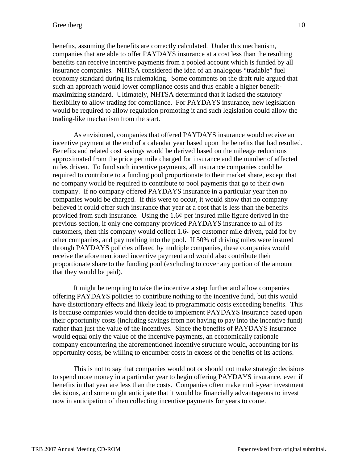benefits, assuming the benefits are correctly calculated. Under this mechanism, companies that are able to offer PAYDAYS insurance at a cost less than the resulting benefits can receive incentive payments from a pooled account which is funded by all insurance companies. NHTSA considered the idea of an analogous "tradable" fuel economy standard during its rulemaking. Some comments on the draft rule argued that such an approach would lower compliance costs and thus enable a higher benefitmaximizing standard. Ultimately, NHTSA determined that it lacked the statutory flexibility to allow trading for compliance. For PAYDAYS insurance, new legislation would be required to allow regulation promoting it and such legislation could allow the trading-like mechanism from the start.

As envisioned, companies that offered PAYDAYS insurance would receive an incentive payment at the end of a calendar year based upon the benefits that had resulted. Benefits and related cost savings would be derived based on the mileage reductions approximated from the price per mile charged for insurance and the number of affected miles driven. To fund such incentive payments, all insurance companies could be required to contribute to a funding pool proportionate to their market share, except that no company would be required to contribute to pool payments that go to their own company. If no company offered PAYDAYS insurance in a particular year then no companies would be charged. If this were to occur, it would show that no company believed it could offer such insurance that year at a cost that is less than the benefits provided from such insurance. Using the  $1.6¢$  per insured mile figure derived in the previous section, if only one company provided PAYDAYS insurance to all of its customers, then this company would collect 1.6¢ per customer mile driven, paid for by other companies, and pay nothing into the pool. If 50% of driving miles were insured through PAYDAYS policies offered by multiple companies, these companies would receive the aforementioned incentive payment and would also contribute their proportionate share to the funding pool (excluding to cover any portion of the amount that they would be paid).

It might be tempting to take the incentive a step further and allow companies offering PAYDAYS policies to contribute nothing to the incentive fund, but this would have distortionary effects and likely lead to programmatic costs exceeding benefits. This is because companies would then decide to implement PAYDAYS insurance based upon their opportunity costs (including savings from not having to pay into the incentive fund) rather than just the value of the incentives. Since the benefits of PAYDAYS insurance would equal only the value of the incentive payments, an economically rationale company encountering the aforementioned incentive structure would, accounting for its opportunity costs, be willing to encumber costs in excess of the benefits of its actions.

This is not to say that companies would not or should not make strategic decisions to spend more money in a particular year to begin offering PAYDAYS insurance, even if benefits in that year are less than the costs. Companies often make multi-year investment decisions, and some might anticipate that it would be financially advantageous to invest now in anticipation of then collecting incentive payments for years to come.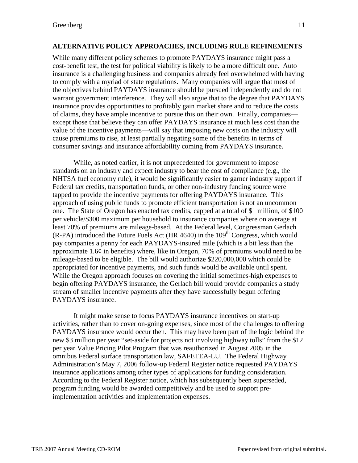## **ALTERNATIVE POLICY APPROACHES, INCLUDING RULE REFINEMENTS**

While many different policy schemes to promote PAYDAYS insurance might pass a cost-benefit test, the test for political viability is likely to be a more difficult one. Auto insurance is a challenging business and companies already feel overwhelmed with having to comply with a myriad of state regulations. Many companies will argue that most of the objectives behind PAYDAYS insurance should be pursued independently and do not warrant government interference. They will also argue that to the degree that PAYDAYS insurance provides opportunities to profitably gain market share and to reduce the costs of claims, they have ample incentive to pursue this on their own. Finally, companies except those that believe they can offer PAYDAYS insurance at much less cost than the value of the incentive payments—will say that imposing new costs on the industry will cause premiums to rise, at least partially negating some of the benefits in terms of consumer savings and insurance affordability coming from PAYDAYS insurance.

While, as noted earlier, it is not unprecedented for government to impose standards on an industry and expect industry to bear the cost of compliance (e.g., the NHTSA fuel economy rule), it would be significantly easier to garner industry support if Federal tax credits, transportation funds, or other non-industry funding source were tapped to provide the incentive payments for offering PAYDAYS insurance. This approach of using public funds to promote efficient transportation is not an uncommon one. The State of Oregon has enacted tax credits, capped at a total of \$1 million, of \$100 per vehicle/\$300 maximum per household to insurance companies where on average at least 70% of premiums are mileage-based. At the Federal level, Congressman Gerlach  $(R-PA)$  introduced the Future Fuels Act (HR 4640) in the  $109<sup>th</sup>$  Congress, which would pay companies a penny for each PAYDAYS-insured mile (which is a bit less than the approximate 1.6¢ in benefits) where, like in Oregon, 70% of premiums would need to be mileage-based to be eligible. The bill would authorize \$220,000,000 which could be appropriated for incentive payments, and such funds would be available until spent. While the Oregon approach focuses on covering the initial sometimes-high expenses to begin offering PAYDAYS insurance, the Gerlach bill would provide companies a study stream of smaller incentive payments after they have successfully begun offering PAYDAYS insurance.

It might make sense to focus PAYDAYS insurance incentives on start-up activities, rather than to cover on-going expenses, since most of the challenges to offering PAYDAYS insurance would occur then. This may have been part of the logic behind the new \$3 million per year "set-aside for projects not involving highway tolls" from the \$12 per year Value Pricing Pilot Program that was reauthorized in August 2005 in the omnibus Federal surface transportation law, SAFETEA-LU. The Federal Highway Administration's May 7, 2006 follow-up Federal Register notice requested PAYDAYS insurance applications among other types of applications for funding consideration. According to the Federal Register notice, which has subsequently been superseded, program funding would be awarded competitively and be used to support preimplementation activities and implementation expenses.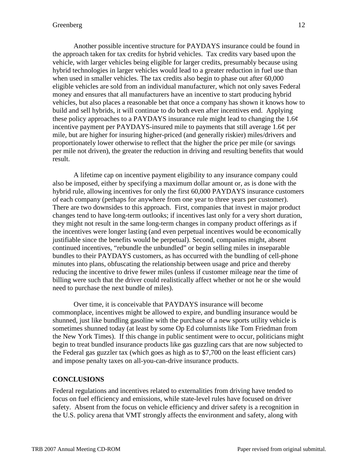Another possible incentive structure for PAYDAYS insurance could be found in the approach taken for tax credits for hybrid vehicles. Tax credits vary based upon the vehicle, with larger vehicles being eligible for larger credits, presumably because using hybrid technologies in larger vehicles would lead to a greater reduction in fuel use than when used in smaller vehicles. The tax credits also begin to phase out after 60,000 eligible vehicles are sold from an individual manufacturer, which not only saves Federal money and ensures that all manufacturers have an incentive to start producing hybrid vehicles, but also places a reasonable bet that once a company has shown it knows how to build and sell hybrids, it will continue to do both even after incentives end. Applying these policy approaches to a PAYDAYS insurance rule might lead to changing the  $1.6¢$ incentive payment per PAYDAYS-insured mile to payments that still average 1.6¢ per mile, but are higher for insuring higher-priced (and generally riskier) miles/drivers and proportionately lower otherwise to reflect that the higher the price per mile (or savings per mile not driven), the greater the reduction in driving and resulting benefits that would result.

A lifetime cap on incentive payment eligibility to any insurance company could also be imposed, either by specifying a maximum dollar amount or, as is done with the hybrid rule, allowing incentives for only the first 60,000 PAYDAYS insurance customers of each company (perhaps for anywhere from one year to three years per customer). There are two downsides to this approach. First, companies that invest in major product changes tend to have long-term outlooks; if incentives last only for a very short duration, they might not result in the same long-term changes in company product offerings as if the incentives were longer lasting (and even perpetual incentives would be economically justifiable since the benefits would be perpetual). Second, companies might, absent continued incentives, "rebundle the unbundled" or begin selling miles in inseparable bundles to their PAYDAYS customers, as has occurred with the bundling of cell-phone minutes into plans, obfuscating the relationship between usage and price and thereby reducing the incentive to drive fewer miles (unless if customer mileage near the time of billing were such that the driver could realistically affect whether or not he or she would need to purchase the next bundle of miles).

Over time, it is conceivable that PAYDAYS insurance will become commonplace, incentives might be allowed to expire, and bundling insurance would be shunned, just like bundling gasoline with the purchase of a new sports utility vehicle is sometimes shunned today (at least by some Op Ed columnists like Tom Friedman from the New York Times). If this change in public sentiment were to occur, politicians might begin to treat bundled insurance products like gas guzzling cars that are now subjected to the Federal gas guzzler tax (which goes as high as to \$7,700 on the least efficient cars) and impose penalty taxes on all-you-can-drive insurance products.

## **CONCLUSIONS**

Federal regulations and incentives related to externalities from driving have tended to focus on fuel efficiency and emissions, while state-level rules have focused on driver safety. Absent from the focus on vehicle efficiency and driver safety is a recognition in the U.S. policy arena that VMT strongly affects the environment and safety, along with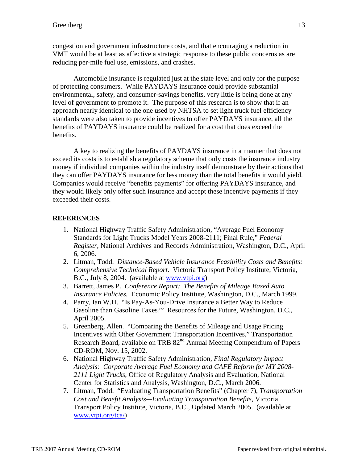congestion and government infrastructure costs, and that encouraging a reduction in VMT would be at least as affective a strategic response to these public concerns as are reducing per-mile fuel use, emissions, and crashes.

Automobile insurance is regulated just at the state level and only for the purpose of protecting consumers. While PAYDAYS insurance could provide substantial environmental, safety, and consumer-savings benefits, very little is being done at any level of government to promote it. The purpose of this research is to show that if an approach nearly identical to the one used by NHTSA to set light truck fuel efficiency standards were also taken to provide incentives to offer PAYDAYS insurance, all the benefits of PAYDAYS insurance could be realized for a cost that does exceed the benefits.

A key to realizing the benefits of PAYDAYS insurance in a manner that does not exceed its costs is to establish a regulatory scheme that only costs the insurance industry money if individual companies within the industry itself demonstrate by their actions that they can offer PAYDAYS insurance for less money than the total benefits it would yield. Companies would receive "benefits payments" for offering PAYDAYS insurance, and they would likely only offer such insurance and accept these incentive payments if they exceeded their costs.

## **REFERENCES**

- 1. National Highway Traffic Safety Administration, "Average Fuel Economy Standards for Light Trucks Model Years 2008-2111; Final Rule," *Federal Register*, National Archives and Records Administration, Washington, D.C., April 6, 2006.
- 2. Litman, Todd. *Distance-Based Vehicle Insurance Feasibility Costs and Benefits: Comprehensive Technical Report*. Victoria Transport Policy Institute, Victoria, B.C., July 8, 2004. (available at www.vtpi.org)
- 3. Barrett, James P. *Conference Report: The Benefits of Mileage Based Auto Insurance Policies.* Economic Policy Institute, Washington, D.C., March 1999.
- 4. Parry, Ian W.H. "Is Pay-As-You-Drive Insurance a Better Way to Reduce Gasoline than Gasoline Taxes?" Resources for the Future, Washington, D.C., April 2005.
- 5. Greenberg, Allen. "Comparing the Benefits of Mileage and Usage Pricing Incentives with Other Government Transportation Incentives," Transportation Research Board, available on TRB  $82<sup>nd</sup>$  Annual Meeting Compendium of Papers CD-ROM, Nov. 15, 2002.
- 6. National Highway Traffic Safety Administration, *Final Regulatory Impact Analysis: Corporate Average Fuel Economy and CAFÉ Reform for MY 2008- 2111 Light Trucks*, Office of Regulatory Analysis and Evaluation, National Center for Statistics and Analysis, Washington, D.C., March 2006.
- 7. Litman, Todd. "Evaluating Transportation Benefits" (Chapter 7), *Transportation Cost and Benefit Analysis—Evaluating Transportation Benefits*, Victoria Transport Policy Institute, Victoria, B.C., Updated March 2005. (available at www.vtpi.org/tca/)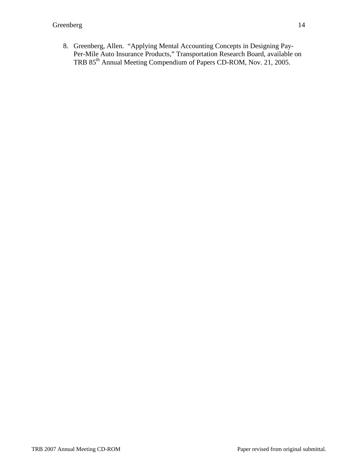8. Greenberg, Allen. "Applying Mental Accounting Concepts in Designing Pay-Per-Mile Auto Insurance Products," Transportation Research Board, available on TRB 85th Annual Meeting Compendium of Papers CD-ROM, Nov. 21, 2005.